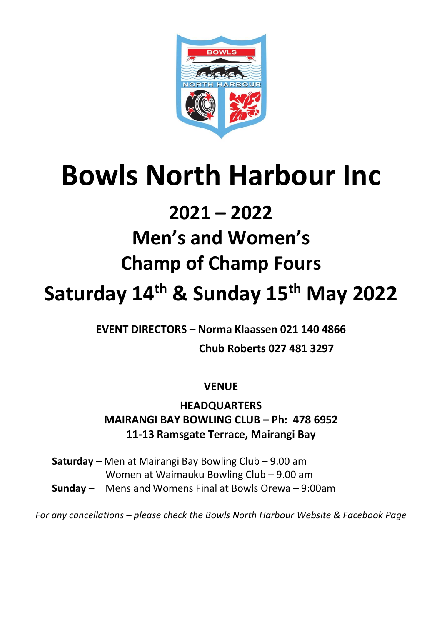

# **Bowls North Harbour Inc**

### **2021 – 2022**

## **Men's and Women's**

## **Champ of Champ Fours**

## **Saturday 14th & Sunday 15th May 2022**

**EVENT DIRECTORS – Norma Klaassen 021 140 4866**

 **Chub Roberts 027 481 3297**

**VENUE**

**HEADQUARTERS MAIRANGI BAY BOWLING CLUB – Ph: 478 6952 11-13 Ramsgate Terrace, Mairangi Bay**

**Saturday** – Men at Mairangi Bay Bowling Club – 9.00 am Women at Waimauku Bowling Club – 9.00 am **Sunday** – Mens and Womens Final at Bowls Orewa – 9:00am

*For any cancellations – please check the Bowls North Harbour Website & Facebook Page*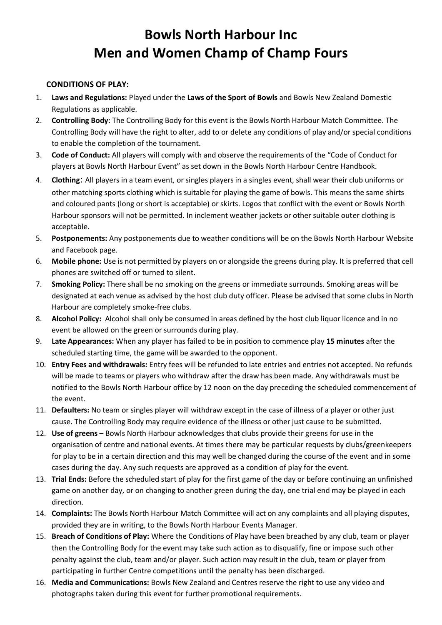### **Bowls North Harbour Inc Men and Women Champ of Champ Fours**

#### **CONDITIONS OF PLAY:**

- 1. **Laws and Regulations:** Played under the **Laws of the Sport of Bowls** and Bowls New Zealand Domestic Regulations as applicable.
- 2. **Controlling Body**: The Controlling Body for this event is the Bowls North Harbour Match Committee. The Controlling Body will have the right to alter, add to or delete any conditions of play and/or special conditions to enable the completion of the tournament.
- 3. **Code of Conduct:** All players will comply with and observe the requirements of the "Code of Conduct for players at Bowls North Harbour Event" as set down in the Bowls North Harbour Centre Handbook.
- 4. **Clothing**: All players in a team event, or singles players in a singles event, shall wear their club uniforms or other matching sports clothing which is suitable for playing the game of bowls. This means the same shirts and coloured pants (long or short is acceptable) or skirts. Logos that conflict with the event or Bowls North Harbour sponsors will not be permitted. In inclement weather jackets or other suitable outer clothing is acceptable.
- 5. **Postponements:** Any postponements due to weather conditions will be on the Bowls North Harbour Website and Facebook page.
- 6. **Mobile phone:** Use is not permitted by players on or alongside the greens during play. It is preferred that cell phones are switched off or turned to silent.
- 7. **Smoking Policy:** There shall be no smoking on the greens or immediate surrounds. Smoking areas will be designated at each venue as advised by the host club duty officer. Please be advised that some clubs in North Harbour are completely smoke-free clubs.
- 8. **Alcohol Policy:** Alcohol shall only be consumed in areas defined by the host club liquor licence and in no event be allowed on the green or surrounds during play.
- 9. **Late Appearances:** When any player has failed to be in position to commence play **15 minutes** after the scheduled starting time, the game will be awarded to the opponent.
- 10. **Entry Fees and withdrawals:** Entry fees will be refunded to late entries and entries not accepted. No refunds will be made to teams or players who withdraw after the draw has been made. Any withdrawals must be notified to the Bowls North Harbour office by 12 noon on the day preceding the scheduled commencement of the event.
- 11. **Defaulters:** No team or singles player will withdraw except in the case of illness of a player or other just cause. The Controlling Body may require evidence of the illness or other just cause to be submitted.
- 12. **Use of greens** Bowls North Harbour acknowledges that clubs provide their greens for use in the organisation of centre and national events. At times there may be particular requests by clubs/greenkeepers for play to be in a certain direction and this may well be changed during the course of the event and in some cases during the day. Any such requests are approved as a condition of play for the event.
- 13. **Trial Ends:** Before the scheduled start of play for the first game of the day or before continuing an unfinished game on another day, or on changing to another green during the day, one trial end may be played in each direction.
- 14. **Complaints:** The Bowls North Harbour Match Committee will act on any complaints and all playing disputes, provided they are in writing, to the Bowls North Harbour Events Manager.
- 15. **Breach of Conditions of Play:** Where the Conditions of Play have been breached by any club, team or player then the Controlling Body for the event may take such action as to disqualify, fine or impose such other penalty against the club, team and/or player. Such action may result in the club, team or player from participating in further Centre competitions until the penalty has been discharged.
- 16. **Media and Communications:** Bowls New Zealand and Centres reserve the right to use any video and photographs taken during this event for further promotional requirements.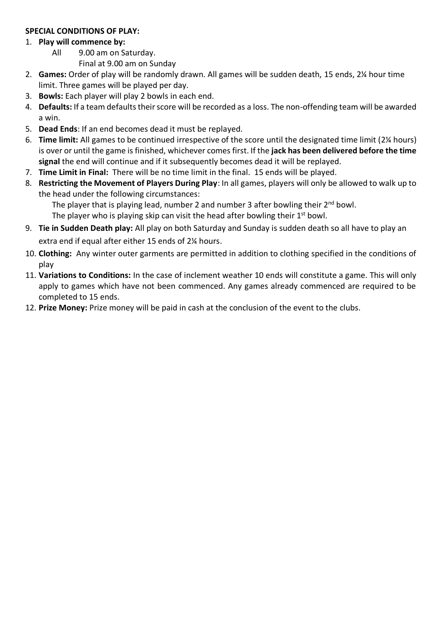#### **SPECIAL CONDITIONS OF PLAY:**

#### 1. **Play will commence by:**

All 9.00 am on Saturday.

Final at 9.00 am on Sunday

- 2. **Games:** Order of play will be randomly drawn. All games will be sudden death, 15 ends, 2¼ hour time limit. Three games will be played per day.
- 3. **Bowls:** Each player will play 2 bowls in each end.
- 4. **Defaults:** If a team defaults their score will be recorded as a loss. The non-offending team will be awarded a win.
- 5. **Dead Ends**: If an end becomes dead it must be replayed.
- 6. **Time limit:** All games to be continued irrespective of the score until the designated time limit (2¼ hours) is over or until the game is finished, whichever comes first. If the **jack has been delivered before the time signal** the end will continue and if it subsequently becomes dead it will be replayed.
- 7. **Time Limit in Final:** There will be no time limit in the final. 15 ends will be played.
- 8. **Restricting the Movement of Players During Play**: In all games, players will only be allowed to walk up to the head under the following circumstances:

The player that is playing lead, number 2 and number 3 after bowling their  $2<sup>nd</sup>$  bowl.

The player who is playing skip can visit the head after bowling their  $1<sup>st</sup>$  bowl.

- 9. **Tie in Sudden Death play:** All play on both Saturday and Sunday is sudden death so all have to play an extra end if equal after either 15 ends of 2¼ hours.
- 10. **Clothing:** Any winter outer garments are permitted in addition to clothing specified in the conditions of play
- 11. **Variations to Conditions:** In the case of inclement weather 10 ends will constitute a game. This will only apply to games which have not been commenced. Any games already commenced are required to be completed to 15 ends.
- 12. **Prize Money:** Prize money will be paid in cash at the conclusion of the event to the clubs.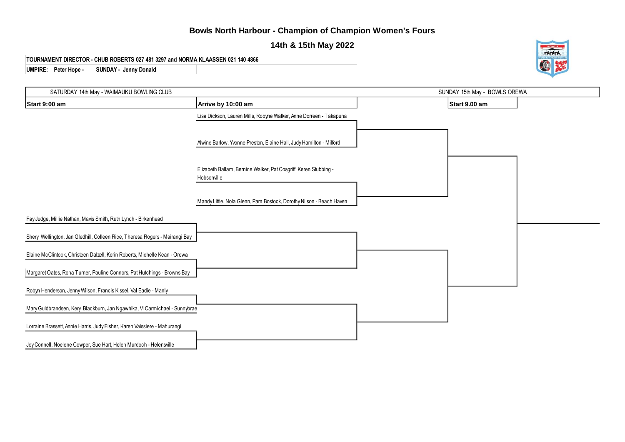#### **Bowls North Harbour - Champion of Champion Women's Fours**

**14th & 15th May 2022**

**TOURNAMENT DIRECTOR - CHUB ROBERTS 027 481 3297 and NORMA KLAASSEN 021 140 4866**

**UMPIRE: Peter Hope - SUNDAY - Jenny Donald**